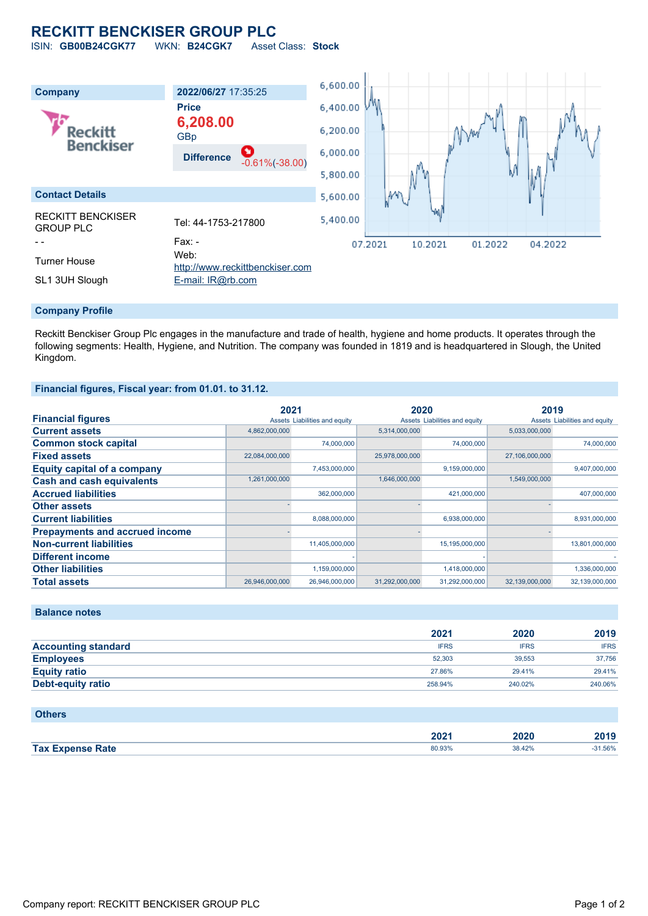# **RECKITT BENCKISER GROUP PLC**

ISIN: **GB00B24CGK77** WKN: **B24CGK7** Asset Class: **Stock**



#### **Company Profile**

Reckitt Benckiser Group Plc engages in the manufacture and trade of health, hygiene and home products. It operates through the following segments: Health, Hygiene, and Nutrition. The company was founded in 1819 and is headquartered in Slough, the United Kingdom.

### **Financial figures, Fiscal year: from 01.01. to 31.12.**

|                                       | 2021           |                               | 2020           |                               | 2019           |                               |
|---------------------------------------|----------------|-------------------------------|----------------|-------------------------------|----------------|-------------------------------|
| <b>Financial figures</b>              |                | Assets Liabilities and equity |                | Assets Liabilities and equity |                | Assets Liabilities and equity |
| <b>Current assets</b>                 | 4,862,000,000  |                               | 5,314,000,000  |                               | 5,033,000,000  |                               |
| <b>Common stock capital</b>           |                | 74,000,000                    |                | 74,000,000                    |                | 74.000.000                    |
| <b>Fixed assets</b>                   | 22,084,000,000 |                               | 25,978,000,000 |                               | 27,106,000,000 |                               |
| <b>Equity capital of a company</b>    |                | 7,453,000,000                 |                | 9,159,000,000                 |                | 9,407,000,000                 |
| <b>Cash and cash equivalents</b>      | 1,261,000,000  |                               | 1,646,000,000  |                               | 1,549,000,000  |                               |
| <b>Accrued liabilities</b>            |                | 362,000,000                   |                | 421,000,000                   |                | 407,000,000                   |
| <b>Other assets</b>                   |                |                               |                |                               |                |                               |
| <b>Current liabilities</b>            |                | 8,088,000,000                 |                | 6,938,000,000                 |                | 8,931,000,000                 |
| <b>Prepayments and accrued income</b> |                |                               |                |                               |                |                               |
| <b>Non-current liabilities</b>        |                | 11,405,000,000                |                | 15,195,000,000                |                | 13,801,000,000                |
| <b>Different income</b>               |                |                               |                |                               |                |                               |
| <b>Other liabilities</b>              |                | 1,159,000,000                 |                | 1,418,000,000                 |                | 1,336,000,000                 |
| <b>Total assets</b>                   | 26,946,000,000 | 26,946,000,000                | 31,292,000,000 | 31,292,000,000                | 32.139.000.000 | 32,139,000,000                |

## **Balance notes**

|                            | 2021        | 2020        | 2019        |
|----------------------------|-------------|-------------|-------------|
| <b>Accounting standard</b> | <b>IFRS</b> | <b>IFRS</b> | <b>IFRS</b> |
| <b>Employees</b>           | 52.303      | 39.553      | 37,756      |
| <b>Equity ratio</b>        | 27.86%      | 29.41%      | 29.41%      |
| <b>Debt-equity ratio</b>   | 258.94%     | 240.02%     | 240.06%     |

#### **Others**

|                         | ר הר<br>ZUZ ' | 2020   | 2019 |
|-------------------------|---------------|--------|------|
| <b>Tax Expense Rate</b> | 80.93%<br>.   | 38.42% | .56% |